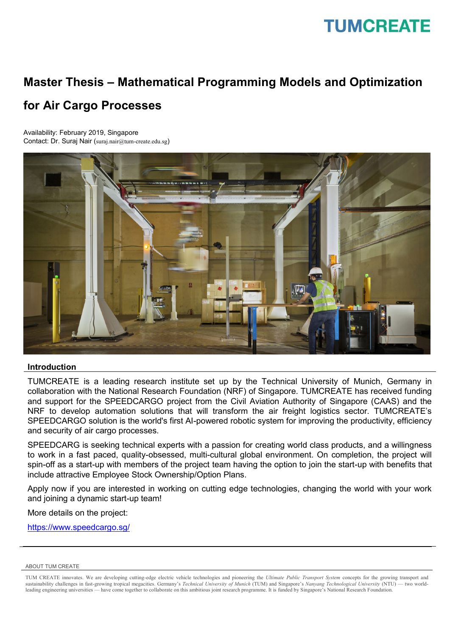### **TUMCREATE**

## **Master Thesis – Mathematical Programming Models and Optimization**

### **for Air Cargo Processes**

Availability: February 2019, Singapore Contact: Dr. Suraj Nair (suraj.nair@tum-create.edu.sg)



#### **Introduction**

TUMCREATE is a leading research institute set up by the Technical University of Munich, Germany in collaboration with the National Research Foundation (NRF) of Singapore. TUMCREATE has received funding and support for the SPEEDCARGO project from the Civil Aviation Authority of Singapore (CAAS) and the NRF to develop automation solutions that will transform the air freight logistics sector. TUMCREATE's SPEEDCARGO solution is the world's first AI-powered robotic system for improving the productivity, efficiency and security of air cargo processes.

SPEEDCARG is seeking technical experts with a passion for creating world class products, and a willingness to work in a fast paced, quality-obsessed, multi-cultural global environment. On completion, the project will spin-off as a start-up with members of the project team having the option to join the start-up with benefits that include attractive Employee Stock Ownership/Option Plans.

Apply now if you are interested in working on cutting edge technologies, changing the world with your work and joining a dynamic start-up team!

More details on the project:

<https://www.speedcargo.sg/>

#### ABOUT TUM CREATE

TUM CREATE innovates. We are developing cutting-edge electric vehicle technologies and pioneering the *Ultimate Public Transport System* concepts for the growing transport and sustainability challenges in fast-growing tropical megacities. Germany's *Technical University of Munich* (TUM) and Singapore's *Nanyang Technological University* (NTU) — two worldleading engineering universities — have come together to collaborate on this ambitious joint research programme. It is funded by Singapore's National Research Foundation.